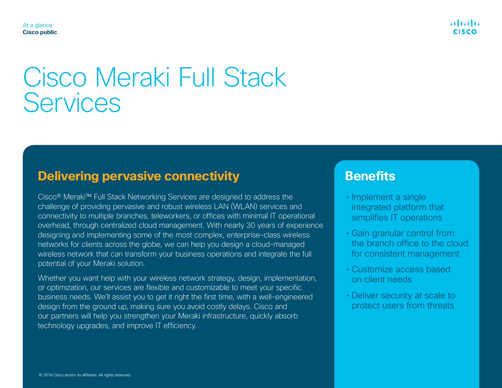. 111. 111.

#### At a glance **Cisco public**

# Cisco Meraki Full Stack **Services**

## **Delivering pervasive connectivity**

Cisco® Meraki™ Full Stack Networking Services are designed to address the challenge of providing pervasive and robust wireless LAN (WLAN) services and connectivity to multiple branches, teleworkers, or offices with minimal IT operational overhead, through centralized cloud management. With nearly 30 years of experience designing and implementing some of the most complex, enterprise-class wireless networks for clients across the globe, we can help you design a cloud-managed wireless network that can transform your business operations and integrate the full potential of your Meraki solution.

Whether you want help with your wireless network strategy, design, implementation, or optimization, our services are flexible and customizable to meet your specific business needs. We'll assist you to get it right the first time, with a well-engineered design from the ground up, making sure you avoid costly delays. Cisco and our partners will help you strengthen your Meraki infrastructure, quickly absorb technology upgrades, and improve IT efficiency.

## **Benefits**

- Implement a single integrated platform that simplifies IT operations
- Gain granular control from the branch office to the cloud for consistent management
- Customize access based on client needs
- Deliver security at scale to protect users from threats